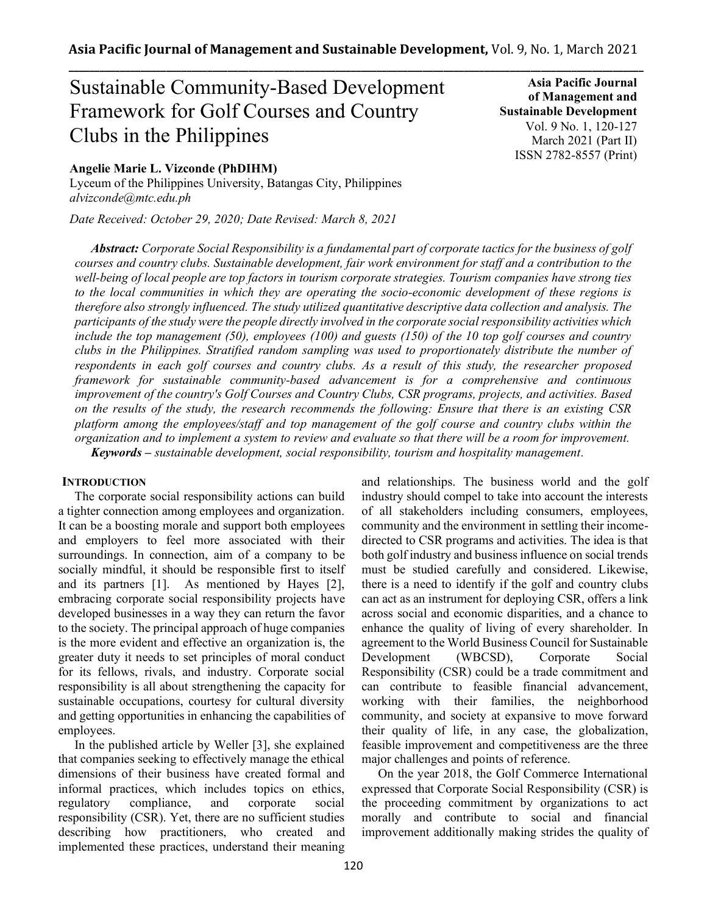# Sustainable Community-Based Development Framework for Golf Courses and Country Clubs in the Philippines

**Angelie Marie L. Vizconde (PhDIHM)**

Lyceum of the Philippines University, Batangas City, Philippines *alvizconde@mtc.edu.ph*

*Date Received: October 29, 2020; Date Revised: March 8, 2021*

**Asia Pacific Journal of Management and Sustainable Development**  Vol. 9 No. 1, 120-127 March 2021 (Part II) ISSN 2782-8557 (Print)

*Abstract: Corporate Social Responsibility is a fundamental part of corporate tactics for the business of golf courses and country clubs. Sustainable development, fair work environment for staff and a contribution to the well-being of local people are top factors in tourism corporate strategies. Tourism companies have strong ties to the local communities in which they are operating the socio-economic development of these regions is therefore also strongly influenced. The study utilized quantitative descriptive data collection and analysis. The participants of the study were the people directly involved in the corporate social responsibility activities which include the top management (50), employees (100) and guests (150) of the 10 top golf courses and country clubs in the Philippines. Stratified random sampling was used to proportionately distribute the number of respondents in each golf courses and country clubs. As a result of this study, the researcher proposed framework for sustainable community-based advancement is for a comprehensive and continuous improvement of the country's Golf Courses and Country Clubs, CSR programs, projects, and activities. Based on the results of the study, the research recommends the following: Ensure that there is an existing CSR platform among the employees/staff and top management of the golf course and country clubs within the organization and to implement a system to review and evaluate so that there will be a room for improvement. Keywords – sustainable development, social responsibility, tourism and hospitality management.* 

## **INTRODUCTION**

The corporate social responsibility actions can build a tighter connection among employees and organization. It can be a boosting morale and support both employees and employers to feel more associated with their surroundings. In connection, aim of a company to be socially mindful, it should be responsible first to itself and its partners [1]. As mentioned by Hayes [2], embracing corporate social responsibility projects have developed businesses in a way they can return the favor to the society. The principal approach of huge companies is the more evident and effective an organization is, the greater duty it needs to set principles of moral conduct for its fellows, rivals, and industry. Corporate social responsibility is all about strengthening the capacity for sustainable occupations, courtesy for cultural diversity and getting opportunities in enhancing the capabilities of employees.

In the published article by Weller [3], she explained that companies seeking to effectively manage the ethical dimensions of their business have created formal and informal practices, which includes topics on ethics, regulatory compliance, and corporate social responsibility (CSR). Yet, there are no sufficient studies describing how practitioners, who created and implemented these practices, understand their meaning and relationships. The business world and the golf industry should compel to take into account the interests of all stakeholders including consumers, employees, community and the environment in settling their incomedirected to CSR programs and activities. The idea is that both golf industry and business influence on social trends must be studied carefully and considered. Likewise, there is a need to identify if the golf and country clubs can act as an instrument for deploying CSR, offers a link across social and economic disparities, and a chance to enhance the quality of living of every shareholder. In agreement to the World Business Council for Sustainable Development (WBCSD), Corporate Social Responsibility (CSR) could be a trade commitment and can contribute to feasible financial advancement, working with their families, the neighborhood community, and society at expansive to move forward their quality of life, in any case, the globalization, feasible improvement and competitiveness are the three major challenges and points of reference.

On the year 2018, the Golf Commerce International expressed that Corporate Social Responsibility (CSR) is the proceeding commitment by organizations to act morally and contribute to social and financial improvement additionally making strides the quality of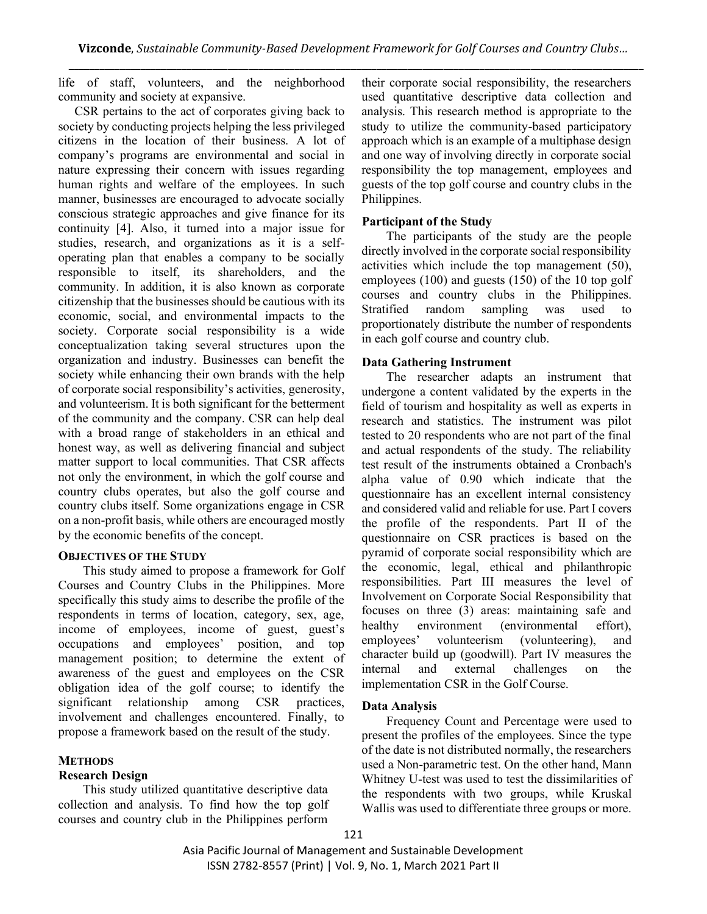life of staff, volunteers, and the neighborhood community and society at expansive.

CSR pertains to the act of corporates giving back to society by conducting projects helping the less privileged citizens in the location of their business. A lot of company's programs are environmental and social in nature expressing their concern with issues regarding human rights and welfare of the employees. In such manner, businesses are encouraged to advocate socially conscious strategic approaches and give finance for its continuity [4]. Also, it turned into a major issue for studies, research, and organizations as it is a selfoperating plan that enables a company to be socially responsible to itself, its shareholders, and the community. In addition, it is also known as corporate citizenship that the businesses should be cautious with its economic, social, and environmental impacts to the society. Corporate social responsibility is a wide conceptualization taking several structures upon the organization and industry. Businesses can benefit the society while enhancing their own brands with the help of corporate social responsibility's activities, generosity, and volunteerism. It is both significant for the betterment of the community and the company. CSR can help deal with a broad range of stakeholders in an ethical and honest way, as well as delivering financial and subject matter support to local communities. That CSR affects not only the environment, in which the golf course and country clubs operates, but also the golf course and country clubs itself. Some organizations engage in CSR on a non-profit basis, while others are encouraged mostly by the economic benefits of the concept.

#### **OBJECTIVES OF THE STUDY**

This study aimed to propose a framework for Golf Courses and Country Clubs in the Philippines. More specifically this study aims to describe the profile of the respondents in terms of location, category, sex, age, income of employees, income of guest, guest's occupations and employees' position, and top management position; to determine the extent of awareness of the guest and employees on the CSR obligation idea of the golf course; to identify the significant relationship among CSR practices, involvement and challenges encountered. Finally, to propose a framework based on the result of the study.

## **METHODS**

## **Research Design**

This study utilized quantitative descriptive data collection and analysis. To find how the top golf courses and country club in the Philippines perform

their corporate social responsibility, the researchers used quantitative descriptive data collection and analysis. This research method is appropriate to the study to utilize the community-based participatory approach which is an example of a multiphase design and one way of involving directly in corporate social responsibility the top management, employees and guests of the top golf course and country clubs in the Philippines.

## **Participant of the Study**

The participants of the study are the people directly involved in the corporate social responsibility activities which include the top management (50), employees (100) and guests (150) of the 10 top golf courses and country clubs in the Philippines. Stratified random sampling was used to proportionately distribute the number of respondents in each golf course and country club.

## **Data Gathering Instrument**

The researcher adapts an instrument that undergone a content validated by the experts in the field of tourism and hospitality as well as experts in research and statistics. The instrument was pilot tested to 20 respondents who are not part of the final and actual respondents of the study. The reliability test result of the instruments obtained a Cronbach's alpha value of 0.90 which indicate that the questionnaire has an excellent internal consistency and considered valid and reliable for use. Part I covers the profile of the respondents. Part II of the questionnaire on CSR practices is based on the pyramid of corporate social responsibility which are the economic, legal, ethical and philanthropic responsibilities. Part III measures the level of Involvement on Corporate Social Responsibility that focuses on three (3) areas: maintaining safe and healthy environment (environmental effort), employees' volunteerism (volunteering), and character build up (goodwill). Part IV measures the internal and external challenges on the implementation CSR in the Golf Course.

## **Data Analysis**

Frequency Count and Percentage were used to present the profiles of the employees. Since the type of the date is not distributed normally, the researchers used a Non-parametric test. On the other hand, Mann Whitney U-test was used to test the dissimilarities of the respondents with two groups, while Kruskal Wallis was used to differentiate three groups or more.

Asia Pacific Journal of Management and Sustainable Development ISSN 2782-8557 (Print) | Vol. 9, No. 1, March 2021 Part II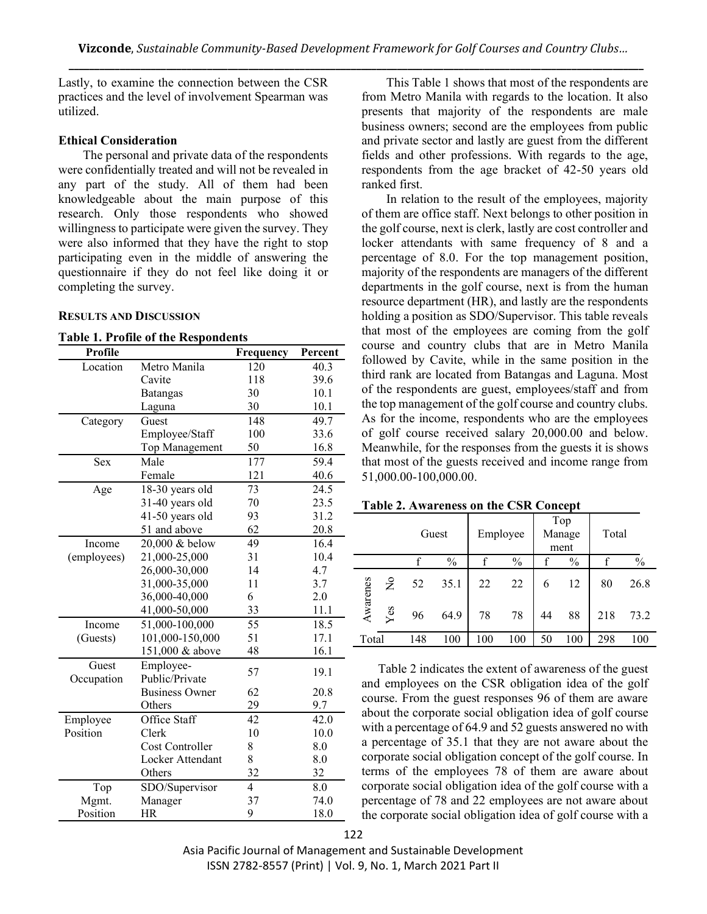Lastly, to examine the connection between the CSR practices and the level of involvement Spearman was utilized.

#### **Ethical Consideration**

The personal and private data of the respondents were confidentially treated and will not be revealed in any part of the study. All of them had been knowledgeable about the main purpose of this research. Only those respondents who showed willingness to participate were given the survey. They were also informed that they have the right to stop participating even in the middle of answering the questionnaire if they do not feel like doing it or completing the survey.

#### **RESULTS AND DISCUSSION**

#### **Table 1. Profile of the Respondents**

| Profile             |                              | Frequency      | Percent |
|---------------------|------------------------------|----------------|---------|
| Location            | Metro Manila                 | 120            | 40.3    |
|                     | Cavite                       | 118            | 39.6    |
|                     | <b>Batangas</b>              | 30             | 10.1    |
|                     | Laguna                       | 30             | 10.1    |
| Category            | Guest                        | 148            | 49.7    |
|                     | Employee/Staff               | 100            | 33.6    |
|                     | <b>Top Management</b>        | 50             | 16.8    |
| Sex                 | Male                         | 177            | 59.4    |
|                     | Female                       | 121            | 40.6    |
| Age                 | 18-30 years old              | 73             | 24.5    |
|                     | 31-40 years old              | 70             | 23.5    |
|                     | 41-50 years old              | 93             | 31.2    |
|                     | 51 and above                 | 62             | 20.8    |
| Income              | 20,000 & below               | 49             | 16.4    |
| (employees)         | 21,000-25,000                | 31             | 10.4    |
|                     | 26,000-30,000                | 14             | 4.7     |
|                     | 31,000-35,000                | 11             | 3.7     |
|                     | 36,000-40,000                | 6              | 2.0     |
|                     | 41,000-50,000                | 33             | 11.1    |
| Income              | $\overline{51}$ ,000-100,000 | 55             | 18.5    |
| (Guests)            | 101,000-150,000              | 51             | 17.1    |
|                     | 151,000 & above              | 48             | 16.1    |
| Guest<br>Occupation | Employee-<br>Public/Private  | 57             | 19.1    |
|                     | <b>Business Owner</b>        | 62             | 20.8    |
|                     | Others                       | 29             | 9.7     |
| Employee            | Office Staff                 | 42             | 42.0    |
| Position            | Clerk                        | 10             | 10.0    |
|                     | <b>Cost Controller</b>       | 8              | 8.0     |
|                     | Locker Attendant             | 8              | 8.0     |
|                     | Others                       | 32             | 32      |
| Top                 | SDO/Supervisor               | $\overline{4}$ | 8.0     |
| Mgmt.               | Manager                      | 37             | 74.0    |
| Position            | HR                           | 9              | 18.0    |

This Table 1 shows that most of the respondents are from Metro Manila with regards to the location. It also presents that majority of the respondents are male business owners; second are the employees from public and private sector and lastly are guest from the different fields and other professions. With regards to the age, respondents from the age bracket of 42-50 years old ranked first.

In relation to the result of the employees, majority of them are office staff. Next belongs to other position in the golf course, next is clerk, lastly are cost controller and locker attendants with same frequency of 8 and a percentage of 8.0. For the top management position, majority of the respondents are managers of the different departments in the golf course, next is from the human resource department (HR), and lastly are the respondents holding a position as SDO/Supervisor. This table reveals that most of the employees are coming from the golf course and country clubs that are in Metro Manila followed by Cavite, while in the same position in the third rank are located from Batangas and Laguna. Most of the respondents are guest, employees/staff and from the top management of the golf course and country clubs. As for the income, respondents who are the employees of golf course received salary 20,000.00 and below. Meanwhile, for the responses from the guests it is shows that most of the guests received and income range from 51,000.00-100,000.00.

|          |                         | Guest |               | Employee |               | Top<br>Manage<br>ment |               | Total |               |
|----------|-------------------------|-------|---------------|----------|---------------|-----------------------|---------------|-------|---------------|
|          |                         | f     | $\frac{0}{0}$ |          | $\frac{0}{0}$ |                       | $\frac{0}{0}$ |       | $\frac{0}{0}$ |
|          | $\overline{\mathsf{z}}$ | 52    | 35.1          | 22       | 22            | 6                     | 12            | 80    | 26.8          |
| Awarenes | Yes                     | 96    | 64.9          | 78       | 78            | 44                    | 88            | 218   | 73.2          |
| Total    |                         | 148   | 100           | 100      | 100           | 50                    | 100           | 298   | 100           |

#### **Table 2. Awareness on the CSR Concept**

Table 2 indicates the extent of awareness of the guest and employees on the CSR obligation idea of the golf course. From the guest responses 96 of them are aware about the corporate social obligation idea of golf course with a percentage of 64.9 and 52 guests answered no with a percentage of 35.1 that they are not aware about the corporate social obligation concept of the golf course. In terms of the employees 78 of them are aware about corporate social obligation idea of the golf course with a percentage of 78 and 22 employees are not aware about the corporate social obligation idea of golf course with a

Asia Pacific Journal of Management and Sustainable Development ISSN 2782-8557 (Print) | Vol. 9, No. 1, March 2021 Part II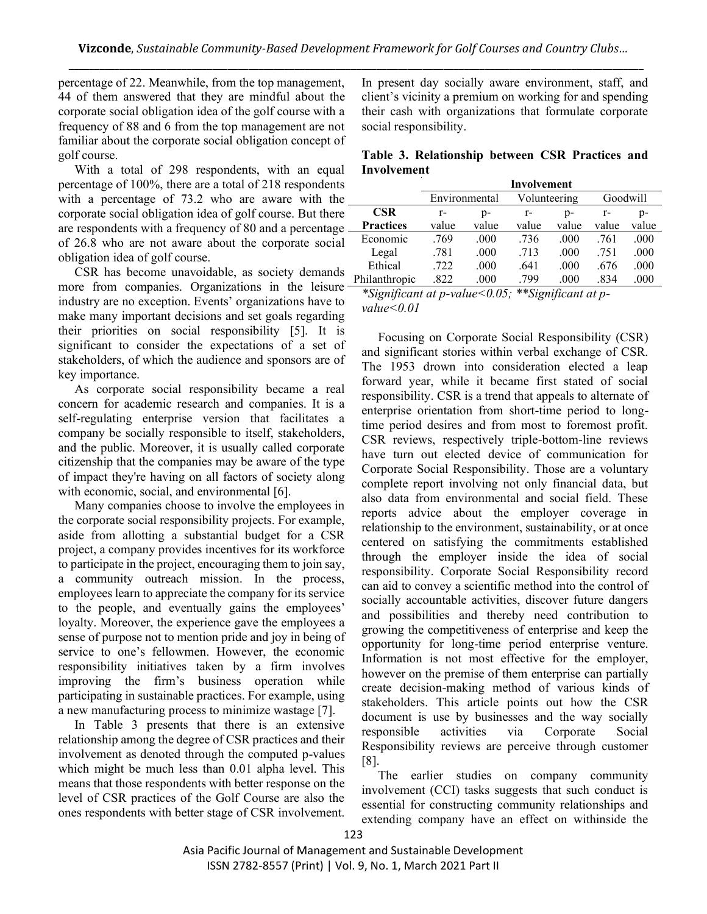percentage of 22. Meanwhile, from the top management, 44 of them answered that they are mindful about the corporate social obligation idea of the golf course with a frequency of 88 and 6 from the top management are not familiar about the corporate social obligation concept of golf course.

With a total of 298 respondents, with an equal percentage of 100%, there are a total of 218 respondents with a percentage of 73.2 who are aware with the corporate social obligation idea of golf course. But there are respondents with a frequency of 80 and a percentage of 26.8 who are not aware about the corporate social obligation idea of golf course.

CSR has become unavoidable, as society demands more from companies. Organizations in the leisure industry are no exception. Events' organizations have to make many important decisions and set goals regarding their priorities on social responsibility [5]. It is significant to consider the expectations of a set of stakeholders, of which the audience and sponsors are of key importance.

As corporate social responsibility became a real concern for academic research and companies. It is a self-regulating enterprise version that facilitates a company be socially responsible to itself, stakeholders, and the public. Moreover, it is usually called corporate citizenship that the companies may be aware of the type of impact they're having on all factors of society along with economic, social, and environmental [6].

Many companies choose to involve the employees in the corporate social responsibility projects. For example, aside from allotting a substantial budget for a CSR project, a company provides incentives for its workforce to participate in the project, encouraging them to join say, a community outreach mission. In the process, employees learn to appreciate the company for its service to the people, and eventually gains the employees' loyalty. Moreover, the experience gave the employees a sense of purpose not to mention pride and joy in being of service to one's fellowmen. However, the economic responsibility initiatives taken by a firm involves improving the firm's business operation while participating in sustainable practices. For example, using a new manufacturing process to minimize wastage [7].

In Table 3 presents that there is an extensive relationship among the degree of CSR practices and their involvement as denoted through the computed p-values which might be much less than 0.01 alpha level. This means that those respondents with better response on the level of CSR practices of the Golf Course are also the ones respondents with better stage of CSR involvement. In present day socially aware environment, staff, and client's vicinity a premium on working for and spending their cash with organizations that formulate corporate social responsibility.

**Table 3. Relationship between CSR Practices and Involvement**

|                  | Involvement   |       |              |       |          |       |
|------------------|---------------|-------|--------------|-------|----------|-------|
|                  | Environmental |       | Volunteering |       | Goodwill |       |
| <b>CSR</b>       | r-            | p-    | r-           | $p-$  | r-       | p-    |
| <b>Practices</b> | value         | value | value        | value | value    | value |
| Economic         | .769          | .000  | .736         | .000  | .761     | .000  |
| Legal            | .781          | .000  | .713         | .000  | .751     | .000  |
| Ethical          | .722          | .000  | .641         | .000  | .676     | .000  |
| Philanthropic    | .822          | .000  | .799         | .000  | .834     | .000  |

*\*Significant at p-value<0.05; \*\*Significant at pvalue<0.01*

Focusing on Corporate Social Responsibility (CSR) and significant stories within verbal exchange of CSR. The 1953 drown into consideration elected a leap forward year, while it became first stated of social responsibility. CSR is a trend that appeals to alternate of enterprise orientation from short-time period to longtime period desires and from most to foremost profit. CSR reviews, respectively triple-bottom-line reviews have turn out elected device of communication for Corporate Social Responsibility. Those are a voluntary complete report involving not only financial data, but also data from environmental and social field. These reports advice about the employer coverage in relationship to the environment, sustainability, or at once centered on satisfying the commitments established through the employer inside the idea of social responsibility. Corporate Social Responsibility record can aid to convey a scientific method into the control of socially accountable activities, discover future dangers and possibilities and thereby need contribution to growing the competitiveness of enterprise and keep the opportunity for long-time period enterprise venture. Information is not most effective for the employer, however on the premise of them enterprise can partially create decision-making method of various kinds of stakeholders. This article points out how the CSR document is use by businesses and the way socially responsible activities via Corporate Social Responsibility reviews are perceive through customer [8].

The earlier studies on company community involvement (CCI) tasks suggests that such conduct is essential for constructing community relationships and extending company have an effect on withinside the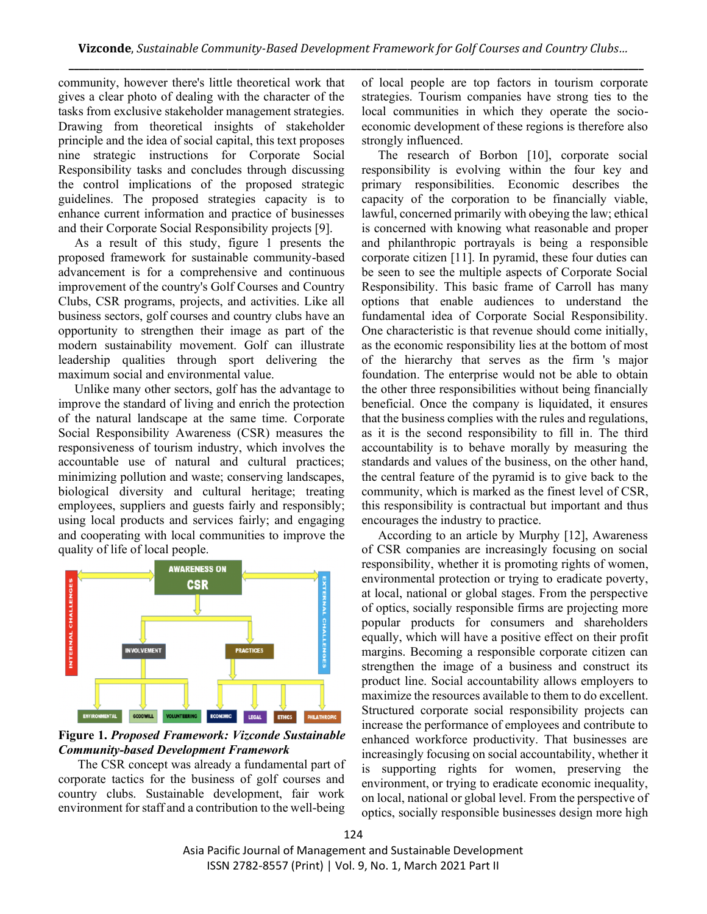community, however there's little theoretical work that gives a clear photo of dealing with the character of the tasks from exclusive stakeholder management strategies. Drawing from theoretical insights of stakeholder principle and the idea of social capital, this text proposes nine strategic instructions for Corporate Social Responsibility tasks and concludes through discussing the control implications of the proposed strategic guidelines. The proposed strategies capacity is to enhance current information and practice of businesses and their Corporate Social Responsibility projects [9].

As a result of this study, figure 1 presents the proposed framework for sustainable community-based advancement is for a comprehensive and continuous improvement of the country's Golf Courses and Country Clubs, CSR programs, projects, and activities. Like all business sectors, golf courses and country clubs have an opportunity to strengthen their image as part of the modern sustainability movement. Golf can illustrate leadership qualities through sport delivering the maximum social and environmental value.

Unlike many other sectors, golf has the advantage to improve the standard of living and enrich the protection of the natural landscape at the same time. Corporate Social Responsibility Awareness (CSR) measures the responsiveness of tourism industry, which involves the accountable use of natural and cultural practices; minimizing pollution and waste; conserving landscapes, biological diversity and cultural heritage; treating employees, suppliers and guests fairly and responsibly; using local products and services fairly; and engaging and cooperating with local communities to improve the quality of life of local people.



**Figure 1.** *Proposed Framework: Vizconde Sustainable Community-based Development Framework*

The CSR concept was already a fundamental part of corporate tactics for the business of golf courses and country clubs. Sustainable development, fair work environment for staff and a contribution to the well-being of local people are top factors in tourism corporate strategies. Tourism companies have strong ties to the local communities in which they operate the socioeconomic development of these regions is therefore also strongly influenced.

The research of Borbon [10], corporate social responsibility is evolving within the four key and primary responsibilities. Economic describes the capacity of the corporation to be financially viable, lawful, concerned primarily with obeying the law; ethical is concerned with knowing what reasonable and proper and philanthropic portrayals is being a responsible corporate citizen [11]. In pyramid, these four duties can be seen to see the multiple aspects of Corporate Social Responsibility. This basic frame of Carroll has many options that enable audiences to understand the fundamental idea of Corporate Social Responsibility. One characteristic is that revenue should come initially, as the economic responsibility lies at the bottom of most of the hierarchy that serves as the firm 's major foundation. The enterprise would not be able to obtain the other three responsibilities without being financially beneficial. Once the company is liquidated, it ensures that the business complies with the rules and regulations, as it is the second responsibility to fill in. The third accountability is to behave morally by measuring the standards and values of the business, on the other hand, the central feature of the pyramid is to give back to the community, which is marked as the finest level of CSR, this responsibility is contractual but important and thus encourages the industry to practice.

According to an article by Murphy [12], Awareness of CSR companies are increasingly focusing on social responsibility, whether it is promoting rights of women, environmental protection or trying to eradicate poverty, at local, national or global stages. From the perspective of optics, socially responsible firms are projecting more popular products for consumers and shareholders equally, which will have a positive effect on their profit margins. Becoming a responsible corporate citizen can strengthen the image of a business and construct its product line. Social accountability allows employers to maximize the resources available to them to do excellent. Structured corporate social responsibility projects can increase the performance of employees and contribute to enhanced workforce productivity. That businesses are increasingly focusing on social accountability, whether it is supporting rights for women, preserving the environment, or trying to eradicate economic inequality, on local, national or global level. From the perspective of optics, socially responsible businesses design more high

Asia Pacific Journal of Management and Sustainable Development ISSN 2782-8557 (Print) | Vol. 9, No. 1, March 2021 Part II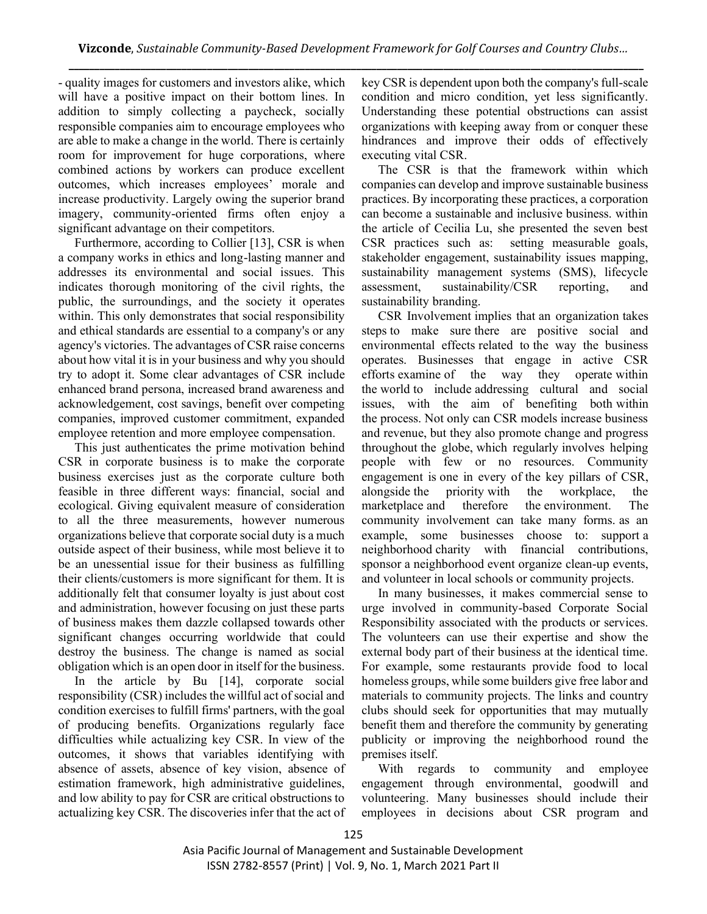- quality images for customers and investors alike, which will have a positive impact on their bottom lines. In addition to simply collecting a paycheck, socially responsible companies aim to encourage employees who are able to make a change in the world. There is certainly room for improvement for huge corporations, where combined actions by workers can produce excellent outcomes, which increases employees' morale and increase productivity. Largely owing the superior brand imagery, community-oriented firms often enjoy a significant advantage on their competitors.

Furthermore, according to Collier [13], CSR is when a company works in ethics and long-lasting manner and addresses its environmental and social issues. This indicates thorough monitoring of the civil rights, the public, the surroundings, and the society it operates within. This only demonstrates that social responsibility and ethical standards are essential to a company's or any agency's victories. The advantages of CSR raise concerns about how vital it is in your business and why you should try to adopt it. Some clear advantages of CSR include enhanced brand persona, increased brand awareness and acknowledgement, cost savings, benefit over competing companies, improved customer commitment, expanded employee retention and more employee compensation.

This just authenticates the prime motivation behind CSR in corporate business is to make the corporate business exercises just as the corporate culture both feasible in three different ways: financial, social and ecological. Giving equivalent measure of consideration to all the three measurements, however numerous organizations believe that corporate social duty is a much outside aspect of their business, while most believe it to be an unessential issue for their business as fulfilling their clients/customers is more significant for them. It is additionally felt that consumer loyalty is just about cost and administration, however focusing on just these parts of business makes them dazzle collapsed towards other significant changes occurring worldwide that could destroy the business. The change is named as social obligation which is an open door in itself for the business.

In the article by Bu [14], corporate social responsibility (CSR) includes the willful act of social and condition exercises to fulfill firms' partners, with the goal of producing benefits. Organizations regularly face difficulties while actualizing key CSR. In view of the outcomes, it shows that variables identifying with absence of assets, absence of key vision, absence of estimation framework, high administrative guidelines, and low ability to pay for CSR are critical obstructions to actualizing key CSR. The discoveries infer that the act of key CSR is dependent upon both the company's full-scale condition and micro condition, yet less significantly. Understanding these potential obstructions can assist organizations with keeping away from or conquer these hindrances and improve their odds of effectively executing vital CSR.

The CSR is that the framework within which companies can develop and improve sustainable business practices. By incorporating these practices, a corporation can become a sustainable and inclusive business. within the article of Cecilia Lu, she presented the seven best CSR practices such as: setting measurable goals, stakeholder engagement, sustainability issues mapping, sustainability management systems (SMS), lifecycle assessment, sustainability/CSR reporting, and sustainability branding.

CSR Involvement implies that an organization takes steps to make sure there are positive social and environmental effects related to the way the business operates. Businesses that engage in active CSR efforts examine of the way they operate within the world to include addressing cultural and social issues, with the aim of benefiting both within the process. Not only can CSR models increase business and revenue, but they also promote change and progress throughout the globe, which regularly involves helping people with few or no resources. Community engagement is one in every of the key pillars of CSR, alongside the priority with the workplace, the marketplace and therefore the environment. The community involvement can take many forms. as an example, some businesses choose to: support a neighborhood charity with financial contributions, sponsor a neighborhood event organize clean-up events, and volunteer in local schools or community projects.

In many businesses, it makes commercial sense to urge involved in community-based Corporate Social Responsibility associated with the products or services. The volunteers can use their expertise and show the external body part of their business at the identical time. For example, some restaurants provide food to local homeless groups, while some builders give free labor and materials to community projects. The links and country clubs should seek for opportunities that may mutually benefit them and therefore the community by generating publicity or improving the neighborhood round the premises itself.

With regards to community and employee engagement through environmental, goodwill and volunteering. Many businesses should include their employees in decisions about CSR program and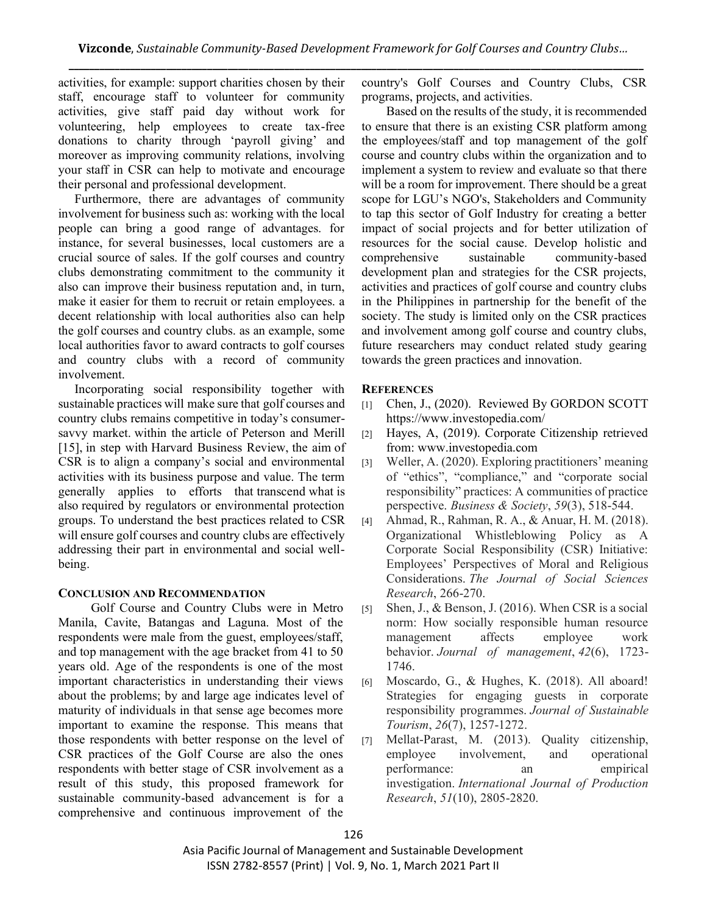activities, for example: support charities chosen by their staff, encourage staff to volunteer for community activities, give staff paid day without work for volunteering, help employees to create tax-free donations to charity through 'payroll giving' and moreover as improving community relations, involving your staff in CSR can help to motivate and encourage their personal and professional development.

Furthermore, there are advantages of community involvement for business such as: working with the local people can bring a good range of advantages. for instance, for several businesses, local customers are a crucial source of sales. If the golf courses and country clubs demonstrating commitment to the community it also can improve their business reputation and, in turn, make it easier for them to recruit or retain employees. a decent relationship with local authorities also can help the golf courses and country clubs. as an example, some local authorities favor to award contracts to golf courses and country clubs with a record of community involvement.

Incorporating social responsibility together with sustainable practices will make sure that golf courses and country clubs remains competitive in today's consumersavvy market. within the article of Peterson and Merill [15], in step with Harvard Business Review, the aim of CSR is to align a company's social and environmental activities with its business purpose and value. The term generally applies to efforts that transcend what is also required by regulators or environmental protection groups. To understand the best practices related to CSR will ensure golf courses and country clubs are effectively addressing their part in environmental and social wellbeing.

## **CONCLUSION AND RECOMMENDATION**

Golf Course and Country Clubs were in Metro Manila, Cavite, Batangas and Laguna. Most of the respondents were male from the guest, employees/staff, and top management with the age bracket from 41 to 50 years old. Age of the respondents is one of the most important characteristics in understanding their views about the problems; by and large age indicates level of maturity of individuals in that sense age becomes more important to examine the response. This means that those respondents with better response on the level of CSR practices of the Golf Course are also the ones respondents with better stage of CSR involvement as a result of this study, this proposed framework for sustainable community-based advancement is for a comprehensive and continuous improvement of the

country's Golf Courses and Country Clubs, CSR programs, projects, and activities.

Based on the results of the study, it is recommended to ensure that there is an existing CSR platform among the employees/staff and top management of the golf course and country clubs within the organization and to implement a system to review and evaluate so that there will be a room for improvement. There should be a great scope for LGU's NGO's, Stakeholders and Community to tap this sector of Golf Industry for creating a better impact of social projects and for better utilization of resources for the social cause. Develop holistic and comprehensive sustainable community-based development plan and strategies for the CSR projects, activities and practices of golf course and country clubs in the Philippines in partnership for the benefit of the society. The study is limited only on the CSR practices and involvement among golf course and country clubs, future researchers may conduct related study gearing towards the green practices and innovation.

## **REFERENCES**

- [1] Chen, J., (2020). Reviewed By GORDON SCOTT https://www.investopedia.com/
- [2] Hayes, A, (2019). Corporate Citizenship retrieved from: www.investopedia.com
- [3] Weller, A. (2020). Exploring practitioners' meaning of "ethics", "compliance," and "corporate social responsibility" practices: A communities of practice perspective. *Business & Society*, *59*(3), 518-544.
- [4] Ahmad, R., Rahman, R. A., & Anuar, H. M. (2018). Organizational Whistleblowing Policy as A Corporate Social Responsibility (CSR) Initiative: Employees' Perspectives of Moral and Religious Considerations. *The Journal of Social Sciences Research*, 266-270.
- [5] Shen, J., & Benson, J. (2016). When CSR is a social norm: How socially responsible human resource management affects employee work behavior. *Journal of management*, *42*(6), 1723- 1746.
- [6] Moscardo, G., & Hughes, K. (2018). All aboard! Strategies for engaging guests in corporate responsibility programmes. *Journal of Sustainable Tourism*, *26*(7), 1257-1272.
- [7] Mellat-Parast, M. (2013). Quality citizenship, employee involvement, and operational performance: an empirical investigation. *International Journal of Production Research*, *51*(10), 2805-2820.